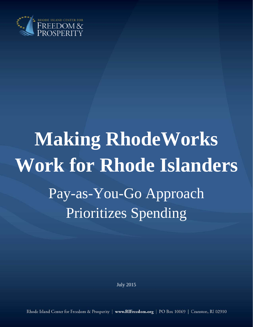

# **Making RhodeWorks Work for Rhode Islanders**  Pay-as-You-Go Approach Prioritizes Spending

July 2015

Rhode Island Center for Freedom & Prosperity | www.RIFreedom.org | PO Box 10069 | Cranston, RI 02910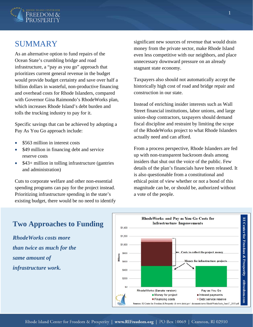

## SUMMARY

As an alternative option to fund repairs of the Ocean State's crumbling bridge and road infrastructure, a "pay as you go" approach that prioritizes current general revenue in the budget would provide budget certainty and save over half a billion dollars in wasteful, non-productive financing and overhead costs for Rhode Islanders, compared with Governor Gina Raimondo's RhodeWorks plan, which increases Rhode Island's debt burden and tolls the trucking industry to pay for it.

Specific savings that can be achieved by adopting a Pay As You Go approach include:

- \$563 million in interest costs
- \$49 million in financing debt and service reserve costs
- \$43+ million in tolling infrastructure (gantries and administration)

Cuts to corporate welfare and other non-essential spending programs can pay for the project instead. Prioritizing infrastructure spending in the state's existing budget, there would be no need to identify significant new sources of revenue that would drain money from the private sector, make Rhode Island even less competitive with our neighbors, and place unnecessary downward pressure on an already stagnant state economy.

Taxpayers also should not automatically accept the historically high cost of road and bridge repair and construction in our state.

Instead of enriching insider interests such as Wall Street financial institutions, labor unions, and large union-shop contractors, taxpayers should demand fiscal discipline and restraint by limiting the scope of the RhodeWorks project to what Rhode Islanders actually need and can afford.

From a process perspective, Rhode Islanders are fed up with non-transparent backroom deals among insiders that shut out the voice of the public. Few details of the plan's financials have been released. It is also questionable from a constitutional and ethical point of view whether or not a bond of this magnitude can be, or should be, authorized without a vote of the people.



## **Two Approaches to Funding**

*RhodeWorks costs more than twice as much for the same amount of infrastructure work.*

1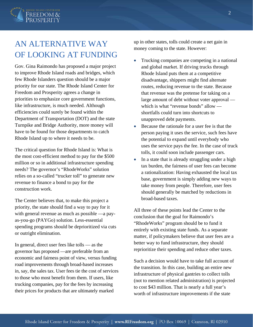

# AN ALTERNATIVE WAY OF LOOKING AT FUNDING

Gov. Gina Raimondo has proposed a major project to improve Rhode Island roads and bridges, which few Rhode Islanders question should be a major priority for our state. The Rhode Island Center for Freedom and Prosperity agrees a change in priorities to emphasize core government functions, like infrastructure, is much needed. Although efficiencies could surely be found within the Department of Transportation (DOT) and the state Turnpike and Bridge Authority, more money will have to be found for those departments to catch Rhode Island up to where it needs to be.

The critical question for Rhode Island is: What is the most cost-efficient method to pay for the \$500 million or so in additional infrastructure spending needs? The governor's "RhodeWorks" solution relies on a so-called "trucker toll" to generate new revenue to finance a bond to pay for the construction work.

The Center believes that, to make this project a priority, the state should find a way to pay for it with general revenue as much as possible —a payas-you-go (PAYGo) solution. Less-essential spending programs should be deprioritized via cuts or outright elimination.

In general, direct user fees like tolls — as the governor has proposed —are preferable from an economic and fairness point of view, versus funding road improvements through broad-based increases in, say, the sales tax. User fees tie the cost of services to those who most benefit from them. If users, like trucking companies, pay for the fees by increasing their prices for products that are ultimately marked

up in other states, tolls could create a net gain in money coming to the state. However:

- Trucking companies are competing in a national and global market. If driving trucks through Rhode Island puts them at a competitive disadvantage, shippers might find alternate routes, reducing revenue to the state. Because that revenue was the pretense for taking on a large amount of debt without voter approval which is what "revenue bonds" allow shortfalls could turn into shortcuts to unapproved debt payments.
- Because the rationale for a user fee is that the person paying it uses the service, such fees have the potential to expand until everybody who uses the service pays the fee. In the case of truck tolls, it could soon include passenger cars.
- In a state that is already struggling under a high tax burden, the fairness of user fees can become a rationalization: Having exhausted the local tax base, government is simply adding new ways to take money from people. Therefore, user fees should generally be matched by reductions in broad-based taxes.

All three of these points lead the Center to the conclusion that the goal for Raimondo's "RhodeWorks" program should be to fund it entirely with existing state funds. As a separate matter, if policymakers believe that user fees are a better way to fund infrastructure, they should reprioritize their spending and reduce other taxes.

Such a decision would have to take full account of the transition. In this case, building an entire new infrastructure of physical gantries to collect tolls (not to mention related administration) is projected to cost \$43 million. That is nearly a full year's worth of infrastructure improvements if the state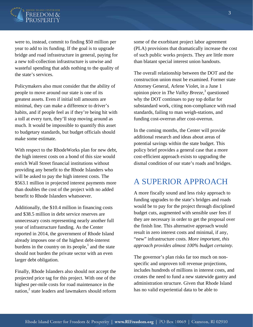

were to, instead, commit to finding \$50 million per year to add to its funding. If the goal is to upgrade bridge and road infrastructure in general, paying for a new toll-collection infrastructure is unwise and wasteful spending that adds nothing to the quality of the state's services.

Policymakers also must consider that the ability of people to move around our state is one of its greatest assets. Even if initial toll amounts are minimal, they can make a difference to driver's habits, and if people feel as if they're being hit with a toll at every turn, they'll stop moving around as much. It would be impossible to quantify this asset to budgetary standards, but budget officials should make some estimate.

With respect to the RhodeWorks plan for new debt, the high interest costs on a bond of this size would enrich Wall Street financial institutions without providing any benefit to the Rhode Islanders who will be asked to pay the high interest costs. The \$563.1 million in projected interest payments more than doubles the cost of the project with no added benefit to Rhode Islanders whatsoever.

Additionally, the \$10.4 million in financing costs and \$38.5 million in debt service reserves are unnecessary costs representing nearly another full year of infrastructure funding. As the Center reported in 2014, the government of Rhode Island already imposes one of the highest debt-interest burdens in the country on its people, $<sup>1</sup>$  and the state</sup> should not burden the private sector with an even larger debt obligation.

Finally, Rhode Islanders also should not accept the projected price tag for this project. With one of the highest per-mile costs for road maintenance in the nation, $^{2}$  state leaders and lawmakers should reform

some of the exorbitant project labor agreement (PLA) provisions that dramatically increase the cost of such public works projects. They are little more than blatant special interest union handouts.

The overall relationship between the DOT and the construction union must be examined. Former state Attorney General, Arlene Violet, in a June 1 opinion piece in *The Valley Breeze*,<sup>3</sup> questioned why the DOT continues to pay top dollar for substandard work, citing non-compliance with road standards, failing to man weigh-stations, and funding cost-overrun after cost-overrun.

In the coming months, the Center will provide additional research and ideas about areas of potential savings within the state budget. This policy brief provides a general case that a more cost-efficient approach exists to upgrading the dismal condition of our state's roads and bridges.

# A SUPERIOR APPROACH

A more fiscally sound and less risky approach to funding upgrades to the state's bridges and roads would be to pay for the project through disciplined budget cuts, augmented with sensible user fees if they are necessary in order to get the proposal over the finish line. This alternative approach would result in zero interest costs and minimal, if any, "new" infrastructure costs. *More important, this approach provides almost 100% budget certainty.* 

The governor's plan risks far too much on nonspecific and unproven toll revenue projections, includes hundreds of millions in interest costs, and creates the need to fund a new statewide gantry and administration structure. Given that Rhode Island has no valid experiential data to be able to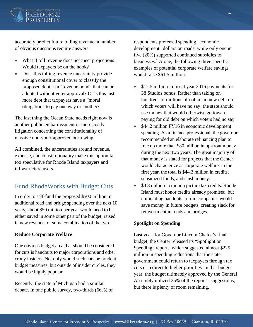

accurately predict future tolling revenue, a number of obvious questions require answers:

- What if toll revenue does not meet projections? Would taxpayers be on the hook?
- Does this tolling revenue uncertainty provide enough constitutional cover to classify the proposed debt as a "revenue bond" that can be adopted without voter approval? Or is this just more debt that taxpayers have a "moral obligation" to pay one way or another?

The last thing the Ocean State needs right now is another public embarrassment or more costly litigation concerning the constitutionality of massive non-voter-approved borrowing.

All combined, the uncertainties around revenue, expense, and constitutionality make this option far too speculative for Rhode Island taxpayers and infrastructure users.

## Fund RhodeWorks with Budget Cuts

In order to self-fund the proposed \$500 million in additional road and bridge spending over the next 10 years, about \$50 million per year would need to be either saved in some other part of the budget, raised in new revenue, or some combination of the two.

#### **Reduce Corporate Welfare**

One obvious budget area that should be considered for cuts is handouts to major corporations and other crony insiders. Not only would such cuts be prudent budget measures, but outside of insider circles, they would be highly popular.

Recently, the state of Michigan had a similar debate. In one public survey, two-thirds (66%) of respondents preferred spending "economic development" dollars on roads, while only one in five (20%) supported continued subsidies to businesses.<sup>4</sup> Alone, the following three specific examples of potential corporate welfare savings would raise \$61.5 million:

- \$12.5 million in fiscal year 2016 payments for 38 Studios bonds. Rather than taking on hundreds of millions of dollars in new debt on which voters will have no say, the state should use money that would otherwise go toward paying for old debt on which voters had no say.
- \$44.2 million FY16 in economic development spending. As a finance professional, the governor recommended an elaborate refinancing plan to free up more than \$80 million in up-front money during the next two years. The great majority of that money is slated for projects that the Center would characterize as corporate welfare. In the first year, the total is \$44.2 million in credits, subsidized funds, and slush money.
- \$4.8 million in motion picture tax credits. Rhode Island must honor credits already promised, but eliminating handouts to film companies would save money in future budgets, creating slack for reinvestment in roads and bridges.

#### **Spotlight on \$pending**

Last year, for Governor Lincoln Chafee's final budget, the Center released its "Spotlight on \$pending" report,<sup>5</sup> which suggested almost \$225 million in spending reductions that the state government could return to taxpayers through tax cuts or redirect to higher priorities. In that budget year, the budget ultimately approved by the General Assembly utilized 25% of the report's suggestions, but there is plenty of room remaining.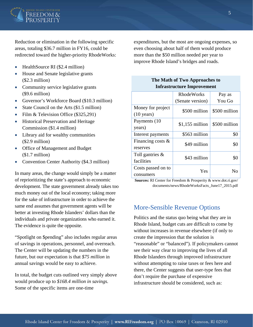

Reduction or elimination in the following specific areas, totaling \$36.7 million in FY16, could be redirected toward the higher-priority RhodeWorks:

- HealthSource RI (\$2.4 million)
- House and Senate legislative grants (\$2.3 million)
- Community service legislative grants (\$9.6 million)
- Governor's Workforce Board (\$10.3 million)
- State Council on the Arts (\$1.5 million)
- Film & Television Office (\$325,291)
- Historical Preservation and Heritage Commission (\$1.4 million)
- Library aid for wealthy communities (\$2.9 million)
- Office of Management and Budget (\$1.7 million)
- Convention Center Authority (\$4.3 million)

In many areas, the change would simply be a matter of reprioritizing the state's approach to economic development. The state government already takes too much money out of the local economy; taking more for the sake of infrastructure in order to achieve the same end assumes that government agents will be better at investing Rhode Islanders' dollars than the individuals and private organizations who earned it. The evidence is quite the opposite.

"Spotlight on \$pending" also includes regular areas of savings in operations, personnel, and overreach. The Center will be updating the numbers in the future, but our expectation is that *\$75 million* in annual savings would be easy to achieve.

In total, the budget cuts outlined very simply above would produce up to *\$168.4 million in savings.* Some of the specific items are one-time

expenditures, but the most are ongoing expenses, so even choosing about half of them would produce more than the \$50 million needed per year to improve Rhode Island's bridges and roads.

> **The Math of Two Approaches to Infrastructure Improvement**

|                      | <b>RhodeWorks</b> | Pay as        |
|----------------------|-------------------|---------------|
|                      | (Senate version)  | You Go        |
| Money for project    | \$500 million     | \$500 million |
| $(10 \text{ years})$ |                   |               |
| Payments (10)        | $$1,155$ million  | \$500 million |
| years)               |                   |               |
| Interest payments    | \$563 million     | \$0           |
| Financing costs &    | \$49 million      | \$0           |
| reserves             |                   |               |
| Toll gantries $\&$   | \$43 million      | \$0           |
| facilities           |                   |               |
| Costs passed on to   | Yes               | N٥            |
| consumers            |                   |               |

**Sources:** RI Center for Freedom & Prosperity & www.dot.ri.gov/ documents/news/RhodeWorksFacts\_June17\_2015.pdf

## More-Sensible Revenue Options

Politics and the status quo being what they are in Rhode Island, budget cuts are difficult to come by without increases in revenue elsewhere (if only to create the impression that the solution is "reasonable" or "balanced"). If policymakers cannot see their way clear to improving the lives of all Rhode Islanders through improved infrastructure without attempting to raise taxes or fees here and there, the Center suggests that user-type fees that don't require the purchase of expensive infrastructure should be considered, such as: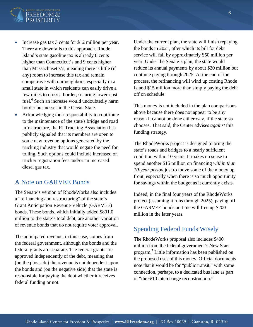

- Increase gas tax 3 cents for \$12 million per year. There are downfalls to this approach. Rhode Island's state gasoline tax is already 8 cents higher than Connecticut's and 9 cents higher than Massachusetts's, meaning there is little (if any) room to increase this tax and remain competitive with our neighbors, especially in a small state in which residents can easily drive a few miles to cross a border, securing lower-cost fuel.<sup>6</sup> Such an increase would undoubtedly harm border businesses in the Ocean State.
- Acknowledging their responsibility to contribute to the maintenance of the state's bridge and road infrastructure, the RI Trucking Association has publicly signaled that its members are open to some new revenue options generated by the trucking industry that would negate the need for tolling. Such options could include increased on trucker registration fees and/or an increased diesel gas tax.

## A Note on GARVEE Bonds

The Senate's version of RhodeWorks also includes a "refinancing and restructuring" of the state's Grant Anticipation Revenue Vehicle (GARVEE) bonds. These bonds, which initially added \$801.0 million to the state's total debt, are another variation of revenue bonds that do not require voter approval.

The anticipated revenue, in this case, comes from the federal government, although the bonds and the federal grants are separate. The federal grants are approved independently of the debt, meaning that (on the plus side) the revenue is not dependent upon the bonds and (on the negative side) that the state is responsible for paying the debt whether it receives federal funding or not.

Under the current plan, the state will finish repaying the bonds in 2021, after which its bill for debt service will fall by approximately \$50 million per year. Under the Senate's plan, the state would reduce its annual payments by about \$20 million but continue paying through 2025. At the end of the process, the refinancing will wind up costing Rhode Island \$15 million more than simply paying the debt off on schedule.

This money is not included in the plan comparisons above because there does not appear to be any reason it cannot be done either way, if the state so chooses. That said, the Center advises *against* this funding strategy.

The RhodeWorks project is designed to bring the state's roads and bridges to a nearly sufficient condition within 10 years. It makes no sense to spend another \$15 million on financing *within that 10-year period* just to move some of the money up front, especially when there is so much opportunity for savings within the budget as it currently exists.

Indeed, in the final four years of the RhodeWorks project (assuming it runs through 2025), paying off the GARVEE bonds on time will free up \$200 million in the later years.

### Spending Federal Funds Wisely

The RhodeWorks proposal also includes \$400 million from the federal government's New Start program.<sup>7</sup> Little information has been published on the proposed uses of this money. Official documents note that it would be for "public transit," with some connection, perhaps, to a dedicated bus lane as part of "the 6/10 interchange reconstruction."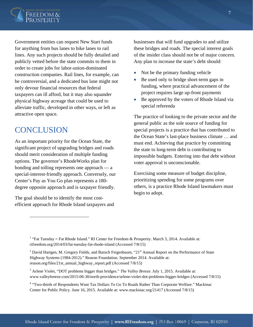

Government entities can request New Start funds for anything from bus lanes to bike lanes to rail lines. Any such projects should be fully detailed and publicly vetted before the state commits to them in order to create jobs for labor-union-dominated construction companies. Rail lines, for example, can be controversial, and a dedicated bus lane might not only devour financial resources that federal taxpayers can ill afford, but it may also squander physical highway acreage that could be used to alleviate traffic, developed in other ways, or left as attractive open space.

# **CONCLUSION**

 $\overline{a}$ 

As an important priority for the Ocean State, the significant project of upgrading bridges and roads should merit consideration of multiple funding options. The governor's RhodeWorks plan for bonding and tolling represents one approach — a special-interest-friendly approach. Conversely, our Center's Pay as You Go plan represents a 180 degree opposite approach and is taxpayer friendly.

The goal should be to identify the most costefficient approach for Rhode Island taxpayers and businesses that will fund upgrades to and utilize these bridges and roads. The special interest goals of the insider class should not be of major concern. Any plan to increase the state's debt should:

- Not be the primary funding vehicle
- Be used only to bridge short-term gaps in funding, where practical advancement of the project requires large up-front payments
- Be approved by the voters of Rhode Island via special referenda

The practice of looking to the private sector and the general public as the sole source of funding for special projects is a practice that has contributed to the Ocean State's last-place business climate … and must end. Achieving that practice by committing the state to long-term debt is contributing to impossible budgets. Entering into that debt without voter approval is unconscionable.

Exercising some measure of budget discipline, prioritizing spending for some programs over others, is a practice Rhode Island lawmakers must begin to adopt.

<sup>&</sup>lt;sup>1</sup> "Fat Tuesday = Fat Rhode Island." RI Center for Freedom & Prosperity. March 3, 2014. Available at: rifreedom.org/2014/03/fat-tuesday-fat-rhode-island (Accessed 7/8/15)

<sup>&</sup>lt;sup>2</sup> David Hartgen, M. Gregory Fields, and Baruch Feigenbaum, "21<sup>st</sup> Annual Report on the Performance of State Highway Systems (1984-2012)." Reason Foundation. September 2014. Available at: reason.org/files/21st\_annual\_highway\_report.pdf (Accessed 7/8/15)

<sup>3</sup> Arlene Violet, "DOT problems bigger than bridges." *The Valley Breeze.* July 1, 2015. Available at: www.valleybreeze.com/2015-06-30/north-providence/arlene-violet-dot-problems-bigger-bridges (Accessed 7/8/15)

<sup>&</sup>lt;sup>4</sup> "Two-thirds of Respondents Want Tax Dollars To Go To Roads Rather Than Corporate Welfare." Mackinac Center for Public Policy. June 16, 2015. Available at: www.mackinac.org/21417 (Accessed 7/8/15)